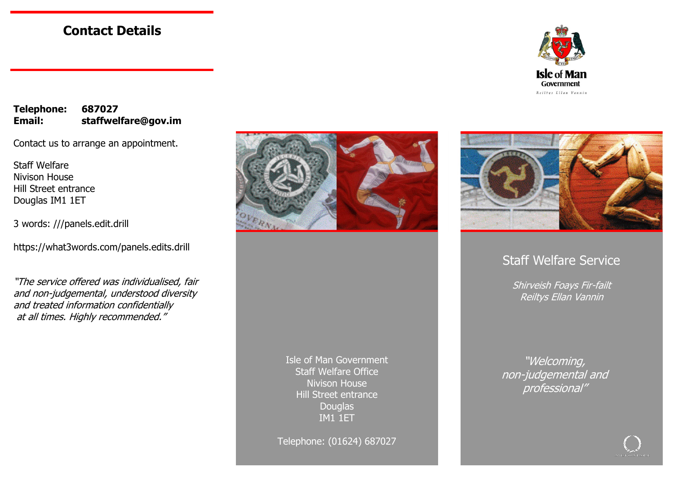### **Contact Details**



**Telephone: 687027 Email: staffwelfare@gov.im** 

Contact us to arrange an appointment.

Staff Welfare Nivison House Hill Street entrance Douglas IM1 1ET

3 words: ///panels.edit.drill

https://what3words.com/panels.edits.drill

"The service offered was individualised, fair and non-judgemental, understood diversity and treated information confidentially at all times. Highly recommended."



Isle of Man Government Staff Welfare Office Nivison House Hill Street entrance **Douglas** IM1 1ET

Telephone: (01624) 687027



### Staff Welfare Service

Shirveish Foays Fir-failt Reiltys Ellan Vannin

"Welcoming, non-judgemental and professional"